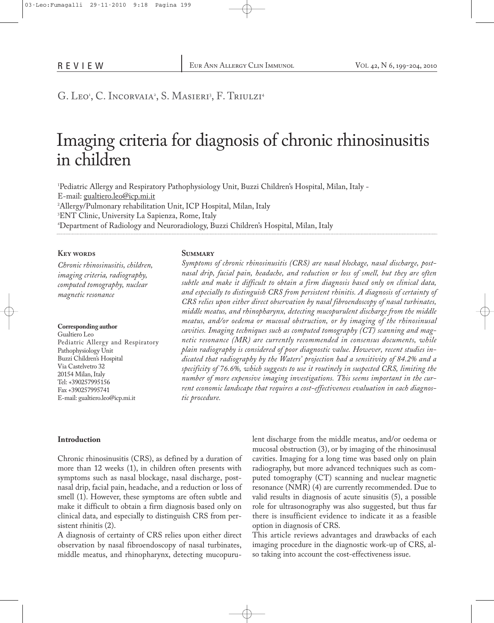# G. Leo', C. Incorvaia', S. Masieri', F. Triulzi'

# Imaging criteria for diagnosis of chronic rhinosinusitis in children

 Pediatric Allergy and Respiratory Pathophysiology Unit, Buzzi Children's Hospital, Milan, Italy - E-mail: gualtiero.leo@icp.mi.it Allergy/Pulmonary rehabilitation Unit, ICP Hospital, Milan, Italy ENT Clinic, University La Sapienza, Rome, Italy Department of Radiology and Neuroradiology, Buzzi Children's Hospital, Milan, Italy

#### **Key words**

*Chronic rhinosinusitis, children, imaging criteria, radiography, computed tomography, nuclear magnetic resonance*

**Corresponding author** Gualtiero Leo Pediatric Allergy and Respiratory Pathophysiology Unit Buzzi Children's Hospital Via Castelvetro 32 20154 Milan, Italy Tel: +390257995156 Fax +390257995741 E-mail: gualtiero.leo@icp.mi.it

#### **Summary**

*Symptoms of chronic rhinosinusitis (CRS) are nasal blockage, nasal discharge, postnasal drip, facial pain, headache, and reduction or loss of smell, but they are often subtle and make it difficult to obtain a firm diagnosis based only on clinical data, and especially to distinguish CRS from persistent rhinitis. A diagnosis of certainty of CRS relies upon either direct observation by nasal fibroendoscopy of nasal turbinates, middle meatus, and rhinopharynx, detecting mucopurulent discharge from the middle meatus, and/or oedema or mucosal obstruction, or by imaging of the rhinosinusal cavities. Imaging techniques such as computed tomography (CT) scanning and magnetic resonance (MR) are currently recommended in consensus documents, while plain radiography is considered of poor diagnostic value. However, recent studies indicated that radiography by the Waters' projection had a sensitivity of 84.2% and a specificity of 76.6%, which suggests to use it routinely in suspected CRS, limiting the number of more expensive imaging investigations. This seems important in the current economic landscape that requires a cost-effectiveness evaluation in each diagnostic procedure.*

#### **Introduction**

Chronic rhinosinusitis (CRS), as defined by a duration of more than 12 weeks (1), in children often presents with symptoms such as nasal blockage, nasal discharge, postnasal drip, facial pain, headache, and a reduction or loss of smell (1). However, these symptoms are often subtle and make it difficult to obtain a firm diagnosis based only on clinical data, and especially to distinguish CRS from persistent rhinitis (2).

A diagnosis of certainty of CRS relies upon either direct observation by nasal fibroendoscopy of nasal turbinates, middle meatus, and rhinopharynx, detecting mucopurulent discharge from the middle meatus, and/or oedema or mucosal obstruction (3), or by imaging of the rhinosinusal cavities. Imaging for a long time was based only on plain radiography, but more advanced techniques such as computed tomography (CT) scanning and nuclear magnetic resonance (NMR) (4) are currently recommended. Due to valid results in diagnosis of acute sinusitis (5), a possible role for ultrasonography was also suggested, but thus far there is insufficient evidence to indicate it as a feasible option in diagnosis of CRS.

This article reviews advantages and drawbacks of each imaging procedure in the diagnostic work-up of CRS, also taking into account the cost-effectiveness issue.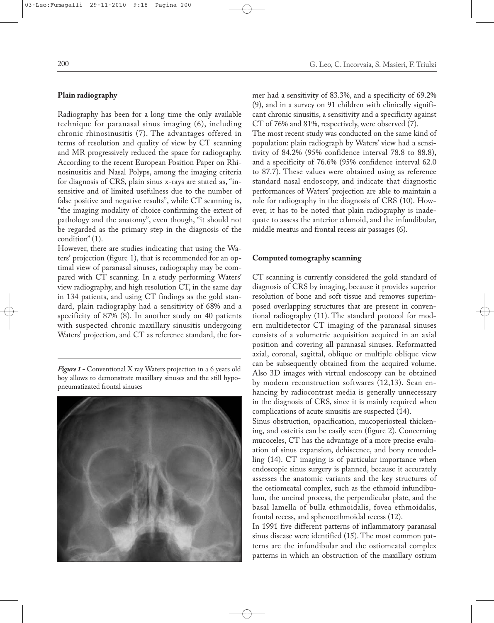# **Plain radiography**

Radiography has been for a long time the only available technique for paranasal sinus imaging (6), including chronic rhinosinusitis (7). The advantages offered in terms of resolution and quality of view by CT scanning and MR progressively reduced the space for radiography. According to the recent European Position Paper on Rhinosinusitis and Nasal Polyps, among the imaging criteria for diagnosis of CRS, plain sinus x-rays are stated as, "insensitive and of limited usefulness due to the number of false positive and negative results", while CT scanning is, "the imaging modality of choice confirming the extent of pathology and the anatomy", even though, "it should not be regarded as the primary step in the diagnosis of the condition" (1).

However, there are studies indicating that using the Waters' projection (figure 1), that is recommended for an optimal view of paranasal sinuses, radiography may be compared with CT scanning. In a study performing Waters' view radiography, and high resolution CT, in the same day in 134 patients, and using CT findings as the gold standard, plain radiography had a sensitivity of 68% and a specificity of 87% (8). In another study on 40 patients with suspected chronic maxillary sinusitis undergoing Waters' projection, and CT as reference standard, the for-

*Figure 1 -* Conventional X ray Waters projection in a 6 years old boy allows to demonstrate maxillary sinuses and the still hypopneumatizated frontal sinuses



mer had a sensitivity of 83.3%, and a specificity of 69.2% (9), and in a survey on 91 children with clinically significant chronic sinusitis, a sensitivity and a specificity against CT of 76% and 81%, respectively, were observed (7). The most recent study was conducted on the same kind of population: plain radiograph by Waters' view had a sensitivity of 84.2% (95% confidence interval 78.8 to 88.8), and a specificity of 76.6% (95% confidence interval 62.0 to 87.7). These values were obtained using as reference standard nasal endoscopy, and indicate that diagnostic performances of Waters' projection are able to maintain a role for radiography in the diagnosis of CRS (10). However, it has to be noted that plain radiography is inadequate to assess the anterior ethmoid, and the infundibular, middle meatus and frontal recess air passages (6).

# **Computed tomography scanning**

CT scanning is currently considered the gold standard of diagnosis of CRS by imaging, because it provides superior resolution of bone and soft tissue and removes superimposed overlapping structures that are present in conventional radiography (11). The standard protocol for modern multidetector CT imaging of the paranasal sinuses consists of a volumetric acquisition acquired in an axial position and covering all paranasal sinuses. Reformatted axial, coronal, sagittal, oblique or multiple oblique view can be subsequently obtained from the acquired volume. Also 3D images with virtual endoscopy can be obtained by modern reconstruction softwares (12,13). Scan enhancing by radiocontrast media is generally unnecessary in the diagnosis of CRS, since it is mainly required when complications of acute sinusitis are suspected (14).

Sinus obstruction, opacification, mucoperiosteal thickening, and osteitis can be easily seen (figure 2). Concerning mucoceles, CT has the advantage of a more precise evaluation of sinus expansion, dehiscence, and bony remodelling (14). CT imaging is of particular importance when endoscopic sinus surgery is planned, because it accurately assesses the anatomic variants and the key structures of the ostiomeatal complex, such as the ethmoid infundibulum, the uncinal process, the perpendicular plate, and the basal lamella of bulla ethmoidalis, fovea ethmoidalis, frontal recess, and sphenoethmoidal recess (12).

In 1991 five different patterns of inflammatory paranasal sinus disease were identified (15). The most common patterns are the infundibular and the ostiomeatal complex patterns in which an obstruction of the maxillary ostium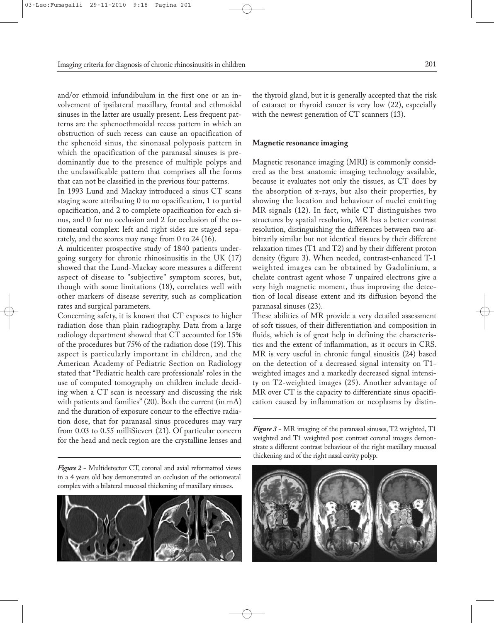and/or ethmoid infundibulum in the first one or an involvement of ipsilateral maxillary, frontal and ethmoidal sinuses in the latter are usually present. Less frequent patterns are the sphenoethmoidal recess pattern in which an obstruction of such recess can cause an opacification of the sphenoid sinus, the sinonasal polyposis pattern in which the opacification of the paranasal sinuses is predominantly due to the presence of multiple polyps and the unclassificable pattern that comprises all the forms that can not be classified in the previous four patterns.

In 1993 Lund and Mackay introduced a sinus CT scans staging score attributing 0 to no opacification, 1 to partial opacification, and 2 to complete opacification for each sinus, and 0 for no occlusion and 2 for occlusion of the ostiomeatal complex: left and right sides are staged separately, and the scores may range from 0 to 24 (16).

A multicenter prospective study of 1840 patients undergoing surgery for chronic rhinosinusitis in the UK (17) showed that the Lund-Mackay score measures a different aspect of disease to "subjective" symptom scores, but, though with some limitations (18), correlates well with other markers of disease severity, such as complication rates and surgical parameters.

Concerning safety, it is known that CT exposes to higher radiation dose than plain radiography. Data from a large radiology department showed that CT accounted for 15% of the procedures but 75% of the radiation dose (19). This aspect is particularly important in children, and the American Academy of Pediatric Section on Radiology stated that "Pediatric health care professionals' roles in the use of computed tomography on children include deciding when a CT scan is necessary and discussing the risk with patients and families" (20). Both the current (in mA) and the duration of exposure concur to the effective radiation dose, that for paranasal sinus procedures may vary from 0.03 to 0.55 milliSievert (21). Of particular concern for the head and neck region are the crystalline lenses and

*Figure 2 -* Multidetector CT, coronal and axial reformatted views in a 4 years old boy demonstrated an occlusion of the ostiomeatal complex with a bilateral mucosal thickening of maxillary sinuses.



the thyroid gland, but it is generally accepted that the risk of cataract or thyroid cancer is very low (22), especially with the newest generation of CT scanners  $(13)$ .

# **Magnetic resonance imaging**

Magnetic resonance imaging (MRI) is commonly considered as the best anatomic imaging technology available, because it evaluates not only the tissues, as CT does by the absorption of x-rays, but also their properties, by showing the location and behaviour of nuclei emitting MR signals (12). In fact, while CT distinguishes two structures by spatial resolution, MR has a better contrast resolution, distinguishing the differences between two arbitrarily similar but not identical tissues by their different relaxation times (T1 and T2) and by their different proton density (figure 3). When needed, contrast-enhanced T-1 weighted images can be obtained by Gadolinium, a chelate contrast agent whose 7 unpaired electrons give a very high magnetic moment, thus improving the detection of local disease extent and its diffusion beyond the paranasal sinuses (23).

These abilities of MR provide a very detailed assessment of soft tissues, of their differentiation and composition in fluids, which is of great help in defining the characteristics and the extent of inflammation, as it occurs in CRS. MR is very useful in chronic fungal sinusitis (24) based on the detection of a decreased signal intensity on T1 weighted images and a markedly decreased signal intensity on T2-weighted images (25). Another advantage of MR over CT is the capacity to differentiate sinus opacification caused by inflammation or neoplasms by distin-

*Figure 3 -* MR imaging of the paranasal sinuses, T2 weighted, T1 weighted and T1 weighted post contrast coronal images demonstrate a different contrast behaviour of the right maxillary mucosal thickening and of the right nasal cavity polyp.

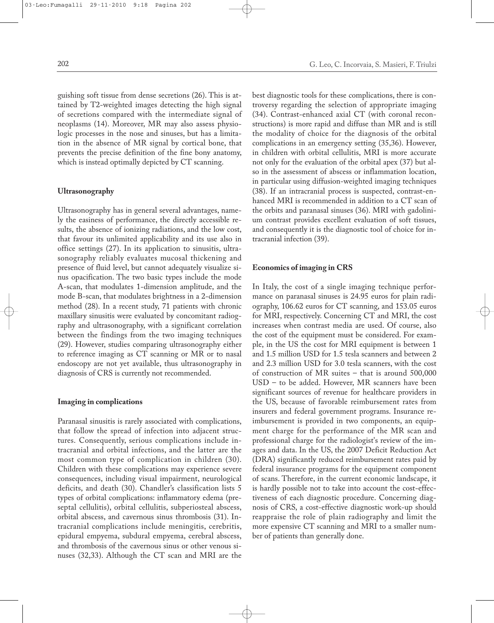guishing soft tissue from dense secretions (26). This is attained by T2-weighted images detecting the high signal of secretions compared with the intermediate signal of neoplasms (14). Moreover, MR may also assess physiologic processes in the nose and sinuses, but has a limitation in the absence of MR signal by cortical bone, that prevents the precise definition of the fine bony anatomy, which is instead optimally depicted by CT scanning.

#### **Ultrasonography**

Ultrasonography has in general several advantages, namely the easiness of performance, the directly accessible results, the absence of ionizing radiations, and the low cost, that favour its unlimited applicability and its use also in office settings (27). In its application to sinusitis, ultrasonography reliably evaluates mucosal thickening and presence of fluid level, but cannot adequately visualize sinus opacification. The two basic types include the mode A-scan, that modulates 1-dimension amplitude, and the mode B-scan, that modulates brightness in a 2-dimension method (28). In a recent study, 71 patients with chronic maxillary sinusitis were evaluated by concomitant radiography and ultrasonography, with a significant correlation between the findings from the two imaging techniques (29). However, studies comparing ultrasonography either to reference imaging as CT scanning or MR or to nasal endoscopy are not yet available, thus ultrasonography in diagnosis of CRS is currently not recommended.

## **Imaging in complications**

Paranasal sinusitis is rarely associated with complications, that follow the spread of infection into adjacent structures. Consequently, serious complications include intracranial and orbital infections, and the latter are the most common type of complication in children (30). Children with these complications may experience severe consequences, including visual impairment, neurological deficits, and death (30). Chandler's classification lists 5 types of orbital complications: inflammatory edema (preseptal cellulitis), orbital cellulitis, subperiosteal abscess, orbital abscess, and cavernous sinus thrombosis (31). Intracranial complications include meningitis, cerebritis, epidural empyema, subdural empyema, cerebral abscess, and thrombosis of the cavernous sinus or other venous sinuses (32,33). Although the CT scan and MRI are the best diagnostic tools for these complications, there is controversy regarding the selection of appropriate imaging (34). Contrast-enhanced axial CT (with coronal reconstructions) is more rapid and diffuse than MR and is still the modality of choice for the diagnosis of the orbital complications in an emergency setting (35,36). However, in children with orbital cellulitis, MRI is more accurate not only for the evaluation of the orbital apex (37) but also in the assessment of abscess or inflammation location, in particular using diffusion-weighted imaging techniques (38). If an intracranial process is suspected, contrast-enhanced MRI is recommended in addition to a CT scan of the orbits and paranasal sinuses (36). MRI with gadolinium contrast provides excellent evaluation of soft tissues, and consequently it is the diagnostic tool of choice for intracranial infection (39).

## **Economics of imaging in CRS**

In Italy, the cost of a single imaging technique performance on paranasal sinuses is 24.95 euros for plain radiography, 106.62 euros for CT scanning, and 153.05 euros for MRI, respectively. Concerning CT and MRI, the cost increases when contrast media are used. Of course, also the cost of the equipment must be considered. For example, in the US the cost for MRI equipment is between 1 and 1.5 million USD for 1.5 tesla scanners and between 2 and 2.3 million USD for 3.0 tesla scanners, with the cost of construction of MR suites – that is around 500,000 USD – to be added. However, MR scanners have been significant sources of revenue for healthcare providers in the US, because of favorable reimbursement rates from insurers and federal government programs. Insurance reimbursement is provided in two components, an equipment charge for the performance of the MR scan and professional charge for the radiologist's review of the images and data. In the US, the 2007 Deficit Reduction Act (DRA) significantly reduced reimbursement rates paid by federal insurance programs for the equipment component of scans. Therefore, in the current economic landscape, it is hardly possible not to take into account the cost-effectiveness of each diagnostic procedure. Concerning diagnosis of CRS, a cost-effective diagnostic work-up should reappraise the role of plain radiography and limit the more expensive CT scanning and MRI to a smaller number of patients than generally done.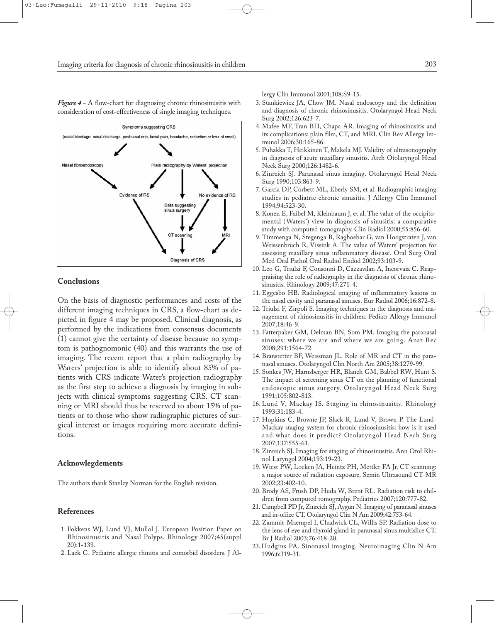*Figure 4 -* A flow-chart for diagnosing chronic rhinosinusitis with consideration of cost-effectiveness of single imaging techniques.



#### **Conclusions**

On the basis of diagnostic performances and costs of the different imaging techniques in CRS, a flow-chart as depicted in figure 4 may be proposed. Clinical diagnosis, as performed by the indications from consensus documents (1) cannot give the certainty of disease because no symptom is pathognomonic (40) and this warrants the use of imaging. The recent report that a plain radiography by Waters' projection is able to identify about 85% of patients with CRS indicate Water's projection radiography as the first step to achieve a diagnosis by imaging in subjects with clinical symptoms suggesting CRS. CT scanning or MRI should thus be reserved to about 15% of patients or to those who show radiographic pictures of surgical interest or images requiring more accurate definitions.

#### **Acknowlegdements**

The authors thank Stanley Norman for the English revision.

# **References**

- 1. Fokkens WJ, Lund VJ, Mullol J. European Position Paper on Rhinosinusitis and Nasal Polyps. Rhinology 2007;45(suppl 20):1-139.
- 2. Lack G. Pediatric allergic rhinitis and comorbid disorders. J Al-

lergy Clin Immunol 2001;108:S9-15.

- 3. Stankiewicz JA, Chow JM. Nasal endoscopy and the definition and diagnosis of chronic rhinosinusitis. Otolaryngol Head Neck Surg 2002;126:623-7.
- 4. Mafee MF, Tran BH, Chapa AR. Imaging of rhinosinusitis and its complications: plain film, CT, and MRI. Clin Rev Allergy Immunol 2006;30:165-86.
- 5. Puhakka T, Heikkinen T, Makela MJ. Validity of ultrasonography in diagnosis of acute maxillary sinusitis. Arch Otolaryngol Head Neck Surg 2000;126:1482-6.
- 6. Zinreich SJ. Paranasal sinus imaging. Otolaryngol Head Neck Surg 1990;103:863-9.
- 7. Garcia DP, Corbett ML, Eberly SM, et al. Radiographic imaging studies in pediatric chronic sinusitis. J Allergy Clin Immunol 1994;94:523-30.
- 8. Konen E, Faibel M, Kleinbaum J, et al. The value of the occipitomental (Waters') view in diagnosis of sinusitis: a comparative study with computed tomography. Clin Radiol 2000;55:856-60.
- 9. Timmenga N, Stegenga B, Raghoebar G, van Hoogstraten J, van Weissenbruch R, Vissink A. The value of Waters' projection for assessing maxillary sinus inflammatory disease. Oral Surg Oral Med Oral Pathol Oral Radiol Endod 2002;93:103-9.
- 10. Leo G, Triulzi F, Consonni D, Cazzavilan A, Incorvaia C. Reappraising the role of radiography in the diagnosis of chronic rhinosinusitis. Rhinology 2009;47:271-4.
- 11. Eggesbo HB. Radiological imaging of inflammatory lesions in the nasal cavity and paranasal sinuses. Eur Radiol 2006;16:872-8.
- 12. Triulzi F, Zirpoli S. Imaging techniques in the diagnosis and management of rhinosinusitis in children. Pediatr Allergy Immunol 2007;18:46-9.
- 13. Fatterpaker GM, Delman BN, Som PM. Imaging the paranasal sinuses: where we are and where we are going. Anat Rec 2008;291:1564-72.
- 14. Branstetter BF, Weissman JL. Role of MR and CT in the paranasal sinuses. Otolaryngol Clin North Am 2005;38:1279-99.
- 15. Sonkes JW, Harnsberger HR, Blanch GM, Babbel RW, Hunt S. The impact of screening sinus CT on the planning of functional endoscopic sinus surgery. Otolaryngol Head Neck Surg 1991;105:802-813.
- 16. Lund V, Mackay IS. Staging in rhinosinusitis. Rhinology 1993;31:183-4.
- 17. Hopkins C, Browne JP, Slack R, Lund V, Brown P. The Lund-Mackay staging system for chronic rhinosinusitis: how is it used and what does it predict? Otolaryngol Head Nech Surg 2007;137:555-61.
- 18. Zinreich SJ. Imaging for staging of rhinosinusitis. Ann Otol Rhinol Laryngol 2004;193:19-23.
- 19. Wiest PW, Locken JA, Heintz PH, Mettler FA Jr. CT scanning: a major source of radiation exposure. Semin Ultrasound CT MR 2002;23:402-10.
- 20. Brody AS, Frush DP, Huda W, Brent RL. Radiation risk to children from computed tomography. Pediatrics 2007;120:777-82.
- 21. Campbell PD Jr, Zinreich SJ, Aygun N. Imaging of paranasal sinuses and in-office CT. Otolaryngol Clin N Am 2009;42:753-64.
- 22. Zammit-Maempel I, Chadwick CL, Willis SP. Radiation dose to the lens of eye and thyroid gland in paranasal sinus multislice CT. Br J Radiol 2003;76:418-20.
- 23. Hudgins PA. Sinonasal imaging. Neuroimaging Clin N Am 1996;6:319-31.